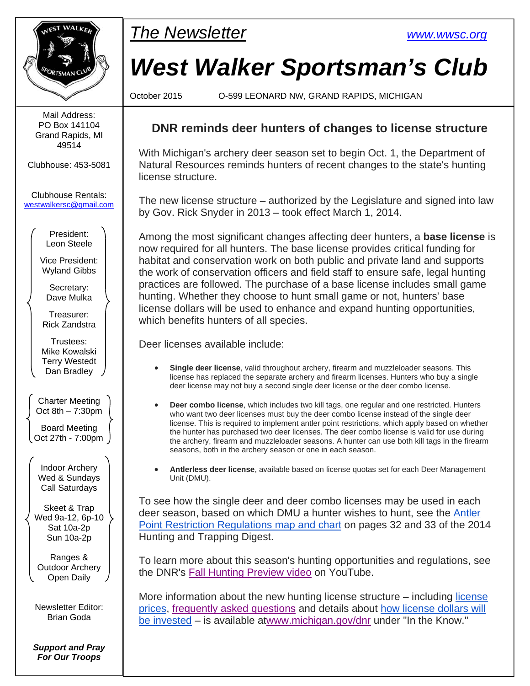

Mail Address: PO Box 141104 Grand Rapids, MI 49514

Clubhouse: 453-5081

Clubhouse Rentals: westwalkersc@gmail.com

> President: Leon Steele

Vice President: Wyland Gibbs

Secretary: Dave Mulka

Treasurer: Rick Zandstra

Trustees: Mike Kowalski Terry Westedt Dan Bradley

Charter Meeting Oct  $8th - 7:30pm$ Board Meeting Oct 27th - 7:00pm

Indoor Archery Wed & Sundays Call Saturdays

Skeet & Trap Wed 9a-12, 6p-10 Sat 10a-2p Sun 10a-2p

Ranges & Outdoor Archery Open Daily

Newsletter Editor: Brian Goda

*Support and Pray For Our Troops* 



# *West Walker Sportsman's Club*

October 2015 O-599 LEONARD NW, GRAND RAPIDS, MICHIGAN

#### **DNR reminds deer hunters of changes to license structure**

With Michigan's archery deer season set to begin Oct. 1, the Department of Natural Resources reminds hunters of recent changes to the state's hunting license structure.

The new license structure – authorized by the Legislature and signed into law by Gov. Rick Snyder in 2013 – took effect March 1, 2014.

Among the most significant changes affecting deer hunters, a **base license** is now required for all hunters. The base license provides critical funding for habitat and conservation work on both public and private land and supports the work of conservation officers and field staff to ensure safe, legal hunting practices are followed. The purchase of a base license includes small game hunting. Whether they choose to hunt small game or not, hunters' base license dollars will be used to enhance and expand hunting opportunities, which benefits hunters of all species.

Deer licenses available include:

- **Single deer license**, valid throughout archery, firearm and muzzleloader seasons. This license has replaced the separate archery and firearm licenses. Hunters who buy a single deer license may not buy a second single deer license or the deer combo license.
- **Deer combo license**, which includes two kill tags, one regular and one restricted. Hunters who want two deer licenses must buy the deer combo license instead of the single deer license. This is required to implement antler point restrictions, which apply based on whether the hunter has purchased two deer licenses. The deer combo license is valid for use during the archery, firearm and muzzleloader seasons. A hunter can use both kill tags in the firearm seasons, both in the archery season or one in each season.
- **Antlerless deer license**, available based on license quotas set for each Deer Management Unit (DMU).

To see how the single deer and deer combo licenses may be used in each deer season, based on which DMU a hunter wishes to hunt, see the Antler Point Restriction Regulations map and chart on pages 32 and 33 of the 2014 Hunting and Trapping Digest.

To learn more about this season's hunting opportunities and regulations, see the DNR's Fall Hunting Preview video on YouTube.

More information about the new hunting license structure – including license prices, frequently asked questions and details about how license dollars will be invested – is available atwww.michigan.gov/dnr under "In the Know."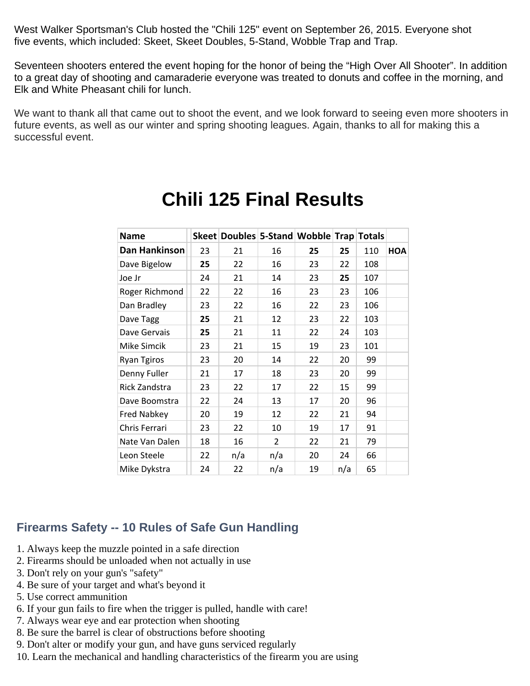West Walker Sportsman's Club hosted the "Chili 125" event on September 26, 2015. Everyone shot five events, which included: Skeet, Skeet Doubles, 5-Stand, Wobble Trap and Trap.

Seventeen shooters entered the event hoping for the honor of being the "High Over All Shooter". In addition to a great day of shooting and camaraderie everyone was treated to donuts and coffee in the morning, and Elk and White Pheasant chili for lunch.

We want to thank all that came out to shoot the event, and we look forward to seeing even more shooters in future events, as well as our winter and spring shooting leagues. Again, thanks to all for making this a successful event.

| <b>Name</b>        |    | Skeet Doubles 5-Stand Wobble Trap Totals |                |    |     |     |     |
|--------------------|----|------------------------------------------|----------------|----|-----|-----|-----|
| Dan Hankinson      | 23 | 21                                       | 16             | 25 | 25  | 110 | HOA |
| Dave Bigelow       | 25 | 22                                       | 16             | 23 | 22  | 108 |     |
| Joe Jr             | 24 | 21                                       | 14             | 23 | 25  | 107 |     |
| Roger Richmond     | 22 | 22                                       | 16             | 23 | 23  | 106 |     |
| Dan Bradley        | 23 | 22                                       | 16             | 22 | 23  | 106 |     |
| Dave Tagg          | 25 | 21                                       | 12             | 23 | 22  | 103 |     |
| Dave Gervais       | 25 | 21                                       | 11             | 22 | 24  | 103 |     |
| Mike Simcik        | 23 | 21                                       | 15             | 19 | 23  | 101 |     |
| <b>Ryan Tgiros</b> | 23 | 20                                       | 14             | 22 | 20  | 99  |     |
| Denny Fuller       | 21 | 17                                       | 18             | 23 | 20  | 99  |     |
| Rick Zandstra      | 23 | 22                                       | 17             | 22 | 15  | 99  |     |
| Dave Boomstra      | 22 | 24                                       | 13             | 17 | 20  | 96  |     |
| <b>Fred Nabkey</b> | 20 | 19                                       | 12             | 22 | 21  | 94  |     |
| Chris Ferrari      | 23 | 22                                       | 10             | 19 | 17  | 91  |     |
| Nate Van Dalen     | 18 | 16                                       | $\overline{2}$ | 22 | 21  | 79  |     |
| Leon Steele        | 22 | n/a                                      | n/a            | 20 | 24  | 66  |     |
| Mike Dykstra       | 24 | 22                                       | n/a            | 19 | n/a | 65  |     |

## **Chili 125 Final Results**

#### **Firearms Safety -- 10 Rules of Safe Gun Handling**

- 1. Always keep the muzzle pointed in a safe direction
- 2. Firearms should be unloaded when not actually in use
- 3. Don't rely on your gun's "safety"
- 4. Be sure of your target and what's beyond it
- 5. Use correct ammunition
- 6. If your gun fails to fire when the trigger is pulled, handle with care!
- 7. Always wear eye and ear protection when shooting
- 8. Be sure the barrel is clear of obstructions before shooting
- 9. Don't alter or modify your gun, and have guns serviced regularly
- 10. Learn the mechanical and handling characteristics of the firearm you are using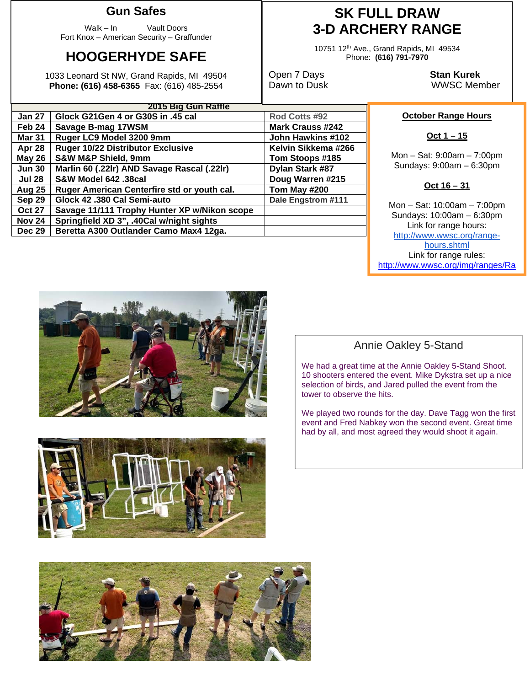#### **Gun Safes**

Walk – In Vault Doors Fort Knox – American Security – Graffunder

## **HOOGERHYDE SAFE**

1033 Leonard St NW, Grand Rapids, MI 49504 **Phone: (616) 458-6365** Fax: (616) 485-2554

| 2015 Big Gun Raffle |                                              |                         |  |  |  |
|---------------------|----------------------------------------------|-------------------------|--|--|--|
| <b>Jan 27</b>       | Glock G21Gen 4 or G30S in .45 cal            | Rod Cotts #92           |  |  |  |
| Feb 24              | Savage B-mag 17WSM                           | <b>Mark Crauss #242</b> |  |  |  |
| <b>Mar 31</b>       | Ruger LC9 Model 3200 9mm                     | John Hawkins #102       |  |  |  |
| Apr 28              | <b>Ruger 10/22 Distributor Exclusive</b>     | Kelvin Sikkema #266     |  |  |  |
| <b>May 26</b>       | <b>S&amp;W M&amp;P Shield, 9mm</b>           | Tom Stoops #185         |  |  |  |
| <b>Jun 30</b>       | Marlin 60 (.22lr) AND Savage Rascal (.22lr)  | Dylan Stark #87         |  |  |  |
| <b>Jul 28</b>       | S&W Model 642 .38cal                         | Doug Warren #215        |  |  |  |
| <b>Aug 25</b>       | Ruger American Centerfire std or youth cal.  | Tom May #200            |  |  |  |
| Sep 29              | Glock 42 .380 Cal Semi-auto                  | Dale Engstrom #111      |  |  |  |
| <b>Oct 27</b>       | Savage 11/111 Trophy Hunter XP w/Nikon scope |                         |  |  |  |
| <b>Nov 24</b>       | Springfield XD 3", .40Cal w/night sights     |                         |  |  |  |
| <b>Dec 29</b>       | Beretta A300 Outlander Camo Max4 12ga.       |                         |  |  |  |

## **SK FULL DRAW 3-D ARCHERY RANGE**

10751 12th Ave., Grand Rapids, MI 49534 Phone: **(616) 791-7970** 

Open 7 Days **Stan Kurek** Dawn to Dusk WWSC Member

#### **October Range Hours**

**Oct 1 – 15** 

Mon – Sat: 9:00am – 7:00pm Sundays: 9:00am – 6:30pm

#### **Oct 16 – 31**

Mon – Sat: 10:00am – 7:00pm Sundays: 10:00am – 6:30pm Link for range hours: http://www.wwsc.org/rangehours.shtml Link for range rules: http://www.wwsc.org/img/ranges/Ra



### Annie Oakley 5-Stand

We had a great time at the Annie Oakley 5-Stand Shoot. 10 shooters entered the event. Mike Dykstra set up a nice selection of birds, and Jared pulled the event from the tower to observe the hits.

We played two rounds for the day. Dave Tagg won the first event and Fred Nabkey won the second event. Great time had by all, and most agreed they would shoot it again.